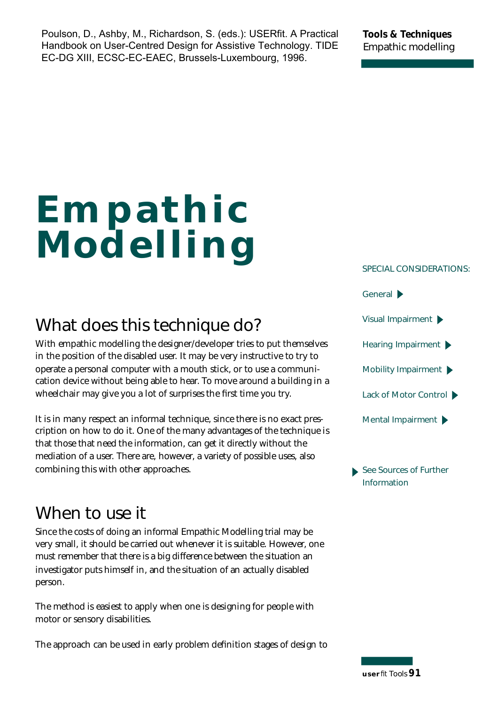Poulson, D., Ashby, M., Richardson, S. (eds.): USERfit. A Practical Handbook on User-Centred Design for Assistive Technology. TIDE EC-DG XIII, ECSC-EC-EAEC, Brussels-Luxembourg, 1996.

**Tools & Techniques Empathic modelling**

# **Empathic Modelling**

# **What does this technique do?**

With empathic modelling the designer/developer tries to put themselves in the position of the disabled user. It may be very instructive to try to operate a personal computer with a mouth stick, or to use a communication device without being able to hear. To move around a building in a wheelchair may give you a lot of surprises the first time you try.

It is in many respect an informal technique, since there is no exact prescription on how to do it. One of the many advantages of the technique is that those that need the information, can get it directly without the mediation of a user. There are, however, a variety of possible uses, also combining this with other approaches.

## **When to use it**

Since the costs of doing an informal Empathic Modelling trial may be very small, it should be carried out whenever it is suitable. However, one must remember that there is a big difference between the situation an investigator puts himself in, and the situation of an actually disabled person.

The method is easiest to apply when one is designing for people with motor or sensory disabilities.

The approach can be used in early problem definition stages of design to

**SPECIAL CONSIDERATIONS:**



**See Sources of Further Information** 

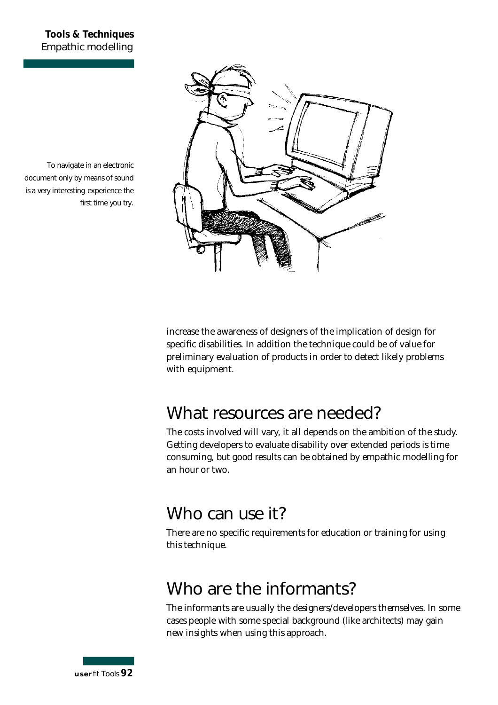#### **Tools & Techniques Empathic modelling**



To navigate in an electronic document only by means of sound is a very interesting experience the first time you try.

> increase the awareness of designers of the implication of design for specific disabilities. In addition the technique could be of value for preliminary evaluation of products in order to detect likely problems with equipment.

## **What resources are needed?**

The costs involved will vary, it all depends on the ambition of the study. Getting developers to evaluate disability over extended periods is time consuming, but good results can be obtained by empathic modelling for an hour or two.

## **Who can use it?**

There are no specific requirements for education or training for using this technique.

## **Who are the informants?**

The informants are usually the designers/developers themselves. In some cases people with some special background (like architects) may gain new insights when using this approach.

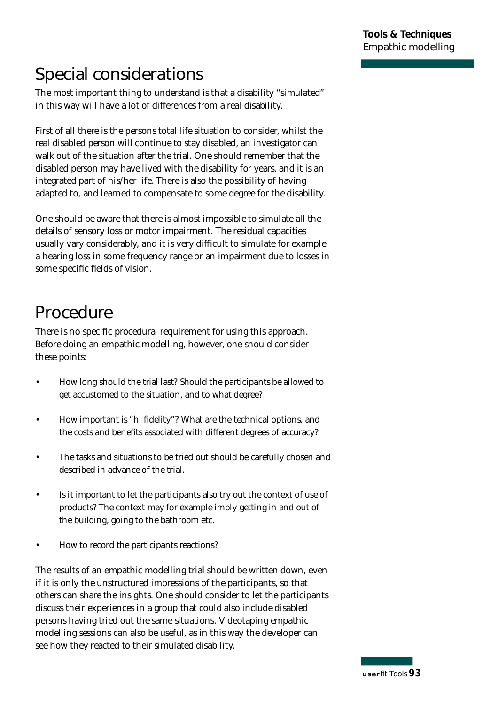# **Special considerations**

The most important thing to understand is that a disability "simulated" in this way will have a lot of differences from a real disability.

First of all there is the persons total life situation to consider, whilst the real disabled person will continue to stay disabled, an investigator can walk out of the situation after the trial. One should remember that the disabled person may have lived with the disability for years, and it is an integrated part of his/her life. There is also the possibility of having adapted to, and learned to compensate to some degree for the disability.

One should be aware that there is almost impossible to simulate all the details of sensory loss or motor impairment. The residual capacities usually vary considerably, and it is very difficult to simulate for example a hearing loss in some frequency range or an impairment due to losses in some specific fields of vision.

# **Procedure**

There is no specific procedural requirement for using this approach. Before doing an empathic modelling, however, one should consider these points:

- How long should the trial last? Should the participants be allowed to get accustomed to the situation, and to what degree?
- How important is "hi fidelity"? What are the technical options, and the costs and benefits associated with different degrees of accuracy?
- The tasks and situations to be tried out should be carefully chosen and described in advance of the trial.
- Is it important to let the participants also try out the context of use of p roducts? The context may for example imply getting in and out of the building, going to the bathroom etc.
- How to record the participants reactions?

The results of an empathic modelling trial should be written down, even if it is only the unstructured impressions of the participants, so that others can share the insights. One should consider to let the participants discuss their experiences in a group that could also include disabled persons having tried out the same situations. Videotaping empathic modelling sessions can also be useful, as in this way the developer can see how they reacted to their simulated disability.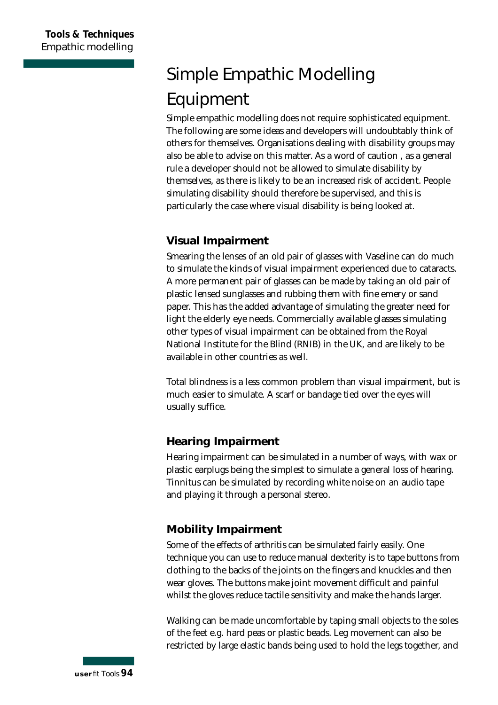# **Simple Empathic Modelling Equipment**

Simple empathic modelling does not require sophisticated equipment. The following are some ideas and developers will undoubtably think of others for themselves. Organisations dealing with disability groups may also be able to advise on this matter. As a word of caution , as a general rule a developer should not be allowed to simulate disability by themselves, as there is likely to be an increased risk of accident. People simulating disability should therefore be supervised, and this is particularly the case where visual disability is being looked at.

### **Visual Impairment**

Smearing the lenses of an old pair of glasses with Vaseline can do much to simulate the kinds of visual impairment experienced due to cataracts. A more permanent pair of glasses can be made by taking an old pair of plastic lensed sunglasses and rubbing them with fine emery or sand paper. This has the added advantage of simulating the greater need for light the elderly eye needs. Commercially available glasses simulating other types of visual impairment can be obtained from the Royal National Institute for the Blind (RNIB) in the UK, and are likely to be available in other countries as well.

Total blindness is a less common problem than visual impairment, but is much easier to simulate. A scarf or bandage tied over the eyes will usually suffice.

### **Hearing Impairment**

Hearing impairment can be simulated in a number of ways, with wax or plastic earplugs being the simplest to simulate a general loss of hearing. Tinnitus can be simulated by recording white noise on an audio tape and playing it through a personal stereo.

## **Mobility Impairment**

Some of the effects of arthritis can be simulated fairly easily. One technique you can use to reduce manual dexterity is to tape buttons from clothing to the backs of the joints on the fingers and knuckles and then wear gloves. The buttons make joint movement difficult and painful whilst the gloves reduce tactile sensitivity and make the hands larger.

Walking can be made uncomfortable by taping small objects to the soles of the feet e.g. hard peas or plastic beads. Leg movement can also be restricted by large elastic bands being used to hold the legs together, and

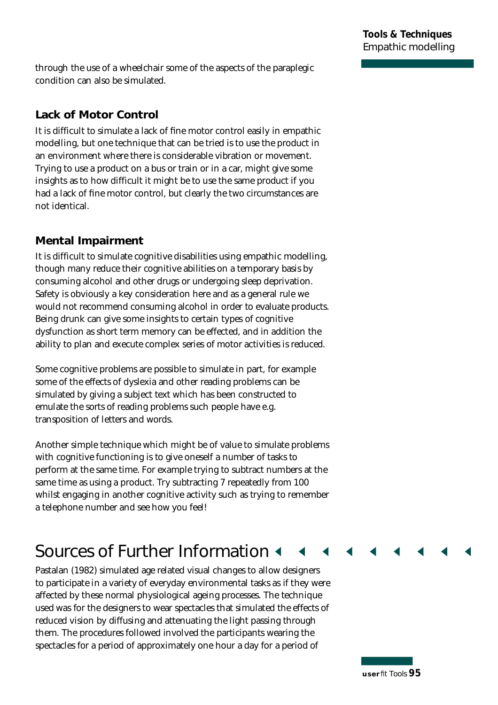through the use of a wheelchair some of the aspects of the paraplegic condition can also be simulated.

#### **Lack of Motor Control**

It is difficult to simulate a lack of fine motor control easily in empathic modelling, but one technique that can be tried is to use the product in an environment where there is considerable vibration or movement. Trying to use a product on a bus or train or in a car, might give some insights as to how difficult it might be to use the same product if you had a lack of fine motor control, but clearly the two circumstances are not identical.

### **Mental Impairment**

It is difficult to simulate cognitive disabilities using empathic modelling, though many reduce their cognitive abilities on a temporary basis by consuming alcohol and other drugs or undergoing sleep deprivation. Safety is obviously a key consideration here and as a general rule we would not recommend consuming alcohol in order to evaluate products. Being drunk can give some insights to certain types of cognitive dysfunction as short term memory can be effected, and in addition the ability to plan and execute complex series of motor activities is reduced.

Some cognitive problems are possible to simulate in part, for example some of the effects of dyslexia and other reading problems can be simulated by giving a subject text which has been constructed to emulate the sorts of reading problems such people have e.g. transposition of letters and words.

Another simple technique which might be of value to simulate problems with cognitive functioning is to give oneself a number of tasks to perform at the same time. For example trying to subtract numbers at the same time as using a product. Try subtracting 7 repeatedly from 100 whilst engaging in another cognitive activity such as trying to remember a telephone number and see how you feel!

## **Sources of Further Information <**

Pastalan (1982) simulated age related visual changes to allow designers to participate in a variety of everyday environmental tasks as if they were affected by these normal physiological ageing processes. The technique used was for the designers to wear spectacles that simulated the effects of reduced vision by diffusing and attenuating the light passing through them. The procedures followed involved the participants wearing the spectacles for a period of approximately one hour a day for a period of